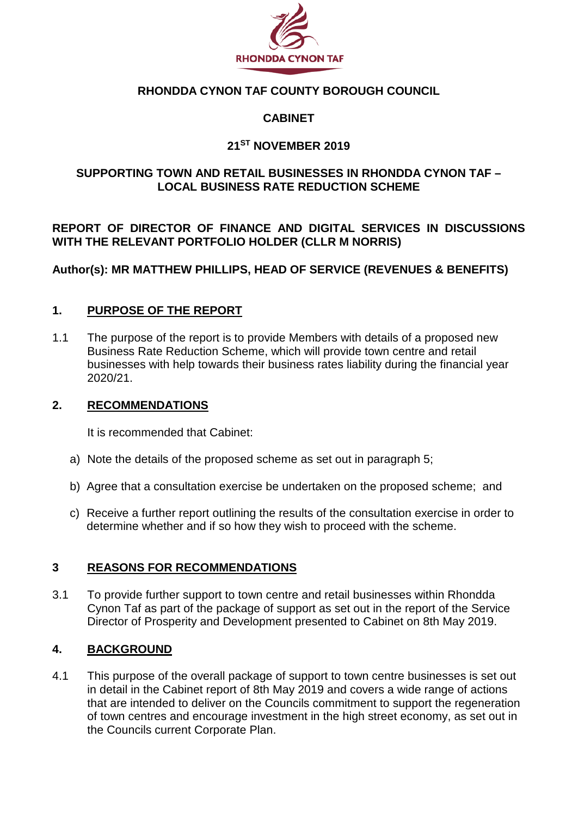

## **RHONDDA CYNON TAF COUNTY BOROUGH COUNCIL**

## **CABINET**

## **21ST NOVEMBER 2019**

## **SUPPORTING TOWN AND RETAIL BUSINESSES IN RHONDDA CYNON TAF – LOCAL BUSINESS RATE REDUCTION SCHEME**

**REPORT OF DIRECTOR OF FINANCE AND DIGITAL SERVICES IN DISCUSSIONS WITH THE RELEVANT PORTFOLIO HOLDER (CLLR M NORRIS)** 

**Author(s): MR MATTHEW PHILLIPS, HEAD OF SERVICE (REVENUES & BENEFITS)** 

#### **1. PURPOSE OF THE REPORT**

1.1 The purpose of the report is to provide Members with details of a proposed new Business Rate Reduction Scheme, which will provide town centre and retail businesses with help towards their business rates liability during the financial year 2020/21.

#### **2. RECOMMENDATIONS**

It is recommended that Cabinet:

- a) Note the details of the proposed scheme as set out in paragraph 5;
- b) Agree that a consultation exercise be undertaken on the proposed scheme; and
- c) Receive a further report outlining the results of the consultation exercise in order to determine whether and if so how they wish to proceed with the scheme.

#### **3 REASONS FOR RECOMMENDATIONS**

3.1 To provide further support to town centre and retail businesses within Rhondda Cynon Taf as part of the package of support as set out in the report of the Service Director of Prosperity and Development presented to Cabinet on 8th May 2019.

#### **4. BACKGROUND**

4.1 This purpose of the overall package of support to town centre businesses is set out in detail in the Cabinet report of 8th May 2019 and covers a wide range of actions that are intended to deliver on the Councils commitment to support the regeneration of town centres and encourage investment in the high street economy, as set out in the Councils current Corporate Plan.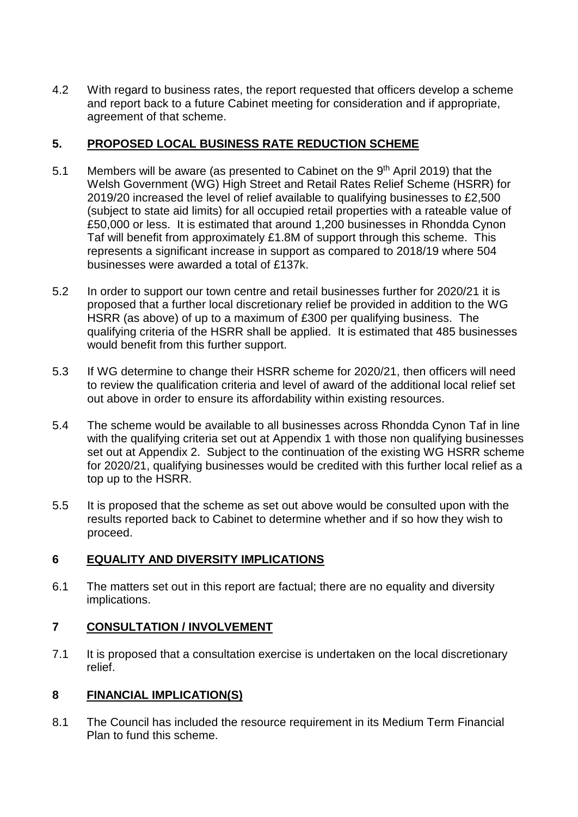4.2 With regard to business rates, the report requested that officers develop a scheme and report back to a future Cabinet meeting for consideration and if appropriate, agreement of that scheme.

# **5. PROPOSED LOCAL BUSINESS RATE REDUCTION SCHEME**

- 5.1 Members will be aware (as presented to Cabinet on the 9<sup>th</sup> April 2019) that the Welsh Government (WG) High Street and Retail Rates Relief Scheme (HSRR) for 2019/20 increased the level of relief available to qualifying businesses to £2,500 (subject to state aid limits) for all occupied retail properties with a rateable value of £50,000 or less. It is estimated that around 1,200 businesses in Rhondda Cynon Taf will benefit from approximately £1.8M of support through this scheme. This represents a significant increase in support as compared to 2018/19 where 504 businesses were awarded a total of £137k.
- 5.2 In order to support our town centre and retail businesses further for 2020/21 it is proposed that a further local discretionary relief be provided in addition to the WG HSRR (as above) of up to a maximum of £300 per qualifying business. The qualifying criteria of the HSRR shall be applied. It is estimated that 485 businesses would benefit from this further support.
- 5.3 If WG determine to change their HSRR scheme for 2020/21, then officers will need to review the qualification criteria and level of award of the additional local relief set out above in order to ensure its affordability within existing resources.
- 5.4 The scheme would be available to all businesses across Rhondda Cynon Taf in line with the qualifying criteria set out at Appendix 1 with those non qualifying businesses set out at Appendix 2. Subject to the continuation of the existing WG HSRR scheme for 2020/21, qualifying businesses would be credited with this further local relief as a top up to the HSRR.
- 5.5 It is proposed that the scheme as set out above would be consulted upon with the results reported back to Cabinet to determine whether and if so how they wish to proceed.

# **6 EQUALITY AND DIVERSITY IMPLICATIONS**

6.1 The matters set out in this report are factual; there are no equality and diversity implications.

# **7 CONSULTATION / INVOLVEMENT**

7.1 It is proposed that a consultation exercise is undertaken on the local discretionary relief.

# **8 FINANCIAL IMPLICATION(S)**

8.1 The Council has included the resource requirement in its Medium Term Financial Plan to fund this scheme.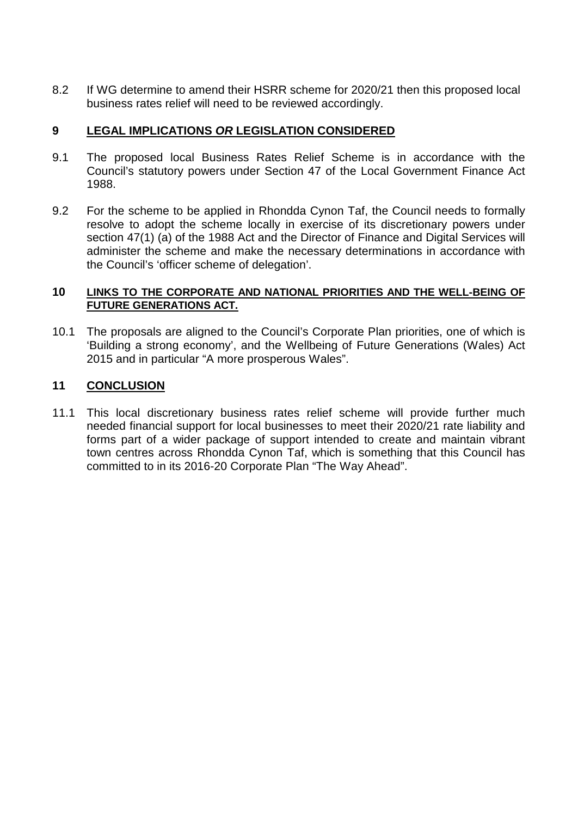8.2 If WG determine to amend their HSRR scheme for 2020/21 then this proposed local business rates relief will need to be reviewed accordingly.

# **9 LEGAL IMPLICATIONS** *OR* **LEGISLATION CONSIDERED**

- 9.1 The proposed local Business Rates Relief Scheme is in accordance with the Council's statutory powers under Section 47 of the Local Government Finance Act 1988.
- 9.2 For the scheme to be applied in Rhondda Cynon Taf, the Council needs to formally resolve to adopt the scheme locally in exercise of its discretionary powers under section 47(1) (a) of the 1988 Act and the Director of Finance and Digital Services will administer the scheme and make the necessary determinations in accordance with the Council's 'officer scheme of delegation'.

#### **10 LINKS TO THE CORPORATE AND NATIONAL PRIORITIES AND THE WELL-BEING OF FUTURE GENERATIONS ACT.**

10.1 The proposals are aligned to the Council's Corporate Plan priorities, one of which is 'Building a strong economy', and the Wellbeing of Future Generations (Wales) Act 2015 and in particular "A more prosperous Wales".

## **11 CONCLUSION**

11.1 This local discretionary business rates relief scheme will provide further much needed financial support for local businesses to meet their 2020/21 rate liability and forms part of a wider package of support intended to create and maintain vibrant town centres across Rhondda Cynon Taf, which is something that this Council has committed to in its 2016-20 Corporate Plan "The Way Ahead".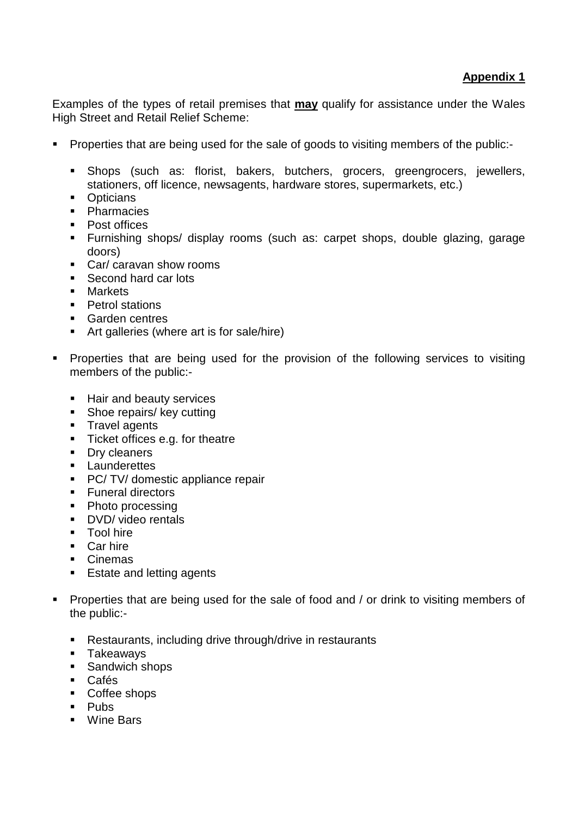Examples of the types of retail premises that **may** qualify for assistance under the Wales High Street and Retail Relief Scheme:

- **Properties that are being used for the sale of goods to visiting members of the public:-**
	- Shops (such as: florist, bakers, butchers, grocers, greengrocers, jewellers, stationers, off licence, newsagents, hardware stores, supermarkets, etc.)
	- Opticians
	- Pharmacies
	- Post offices
	- Furnishing shops/ display rooms (such as: carpet shops, double glazing, garage doors)
	- Car/ caravan show rooms
	- Second hard car lots
	- **Markets**
	- Petrol stations
	- Garden centres
	- Art galleries (where art is for sale/hire)
- **Properties that are being used for the provision of the following services to visiting** members of the public:-
	- **Hair and beauty services**
	- Shoe repairs/ key cutting
	- **Travel agents**
	- **Ticket offices e.g. for theatre**
	- Dry cleaners
	- **Launderettes**
	- **PC/ TV/ domestic appliance repair**
	- **Funeral directors**
	- Photo processing
	- **DVD**/ video rentals
	- **Tool hire**
	- **Car hire**
	- **Cinemas**
	- Estate and letting agents
- **Properties that are being used for the sale of food and / or drink to visiting members of** the public:-
	- Restaurants, including drive through/drive in restaurants
	- **Takeaways**
	- **Sandwich shops**
	- Cafés
	- Coffee shops
	- **Pubs**
	- Wine Bars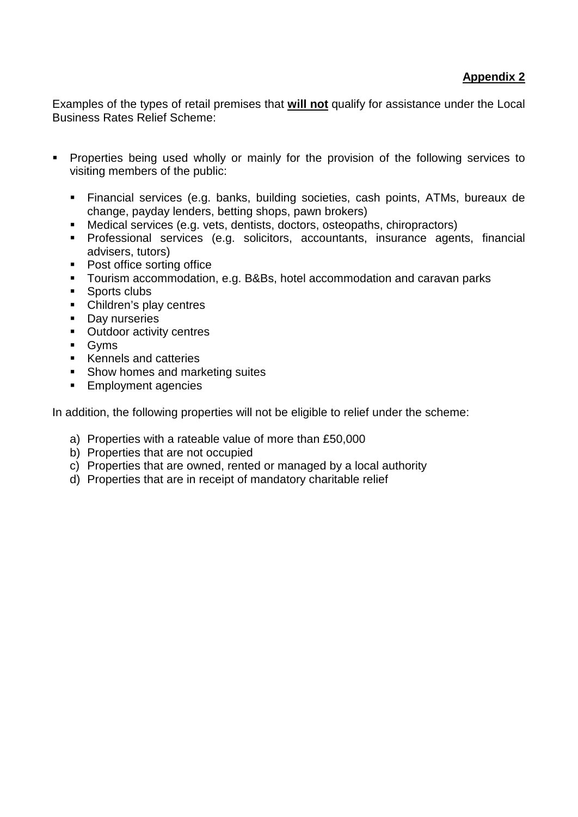Examples of the types of retail premises that **will not** qualify for assistance under the Local Business Rates Relief Scheme:

- **Properties being used wholly or mainly for the provision of the following services to** visiting members of the public:
	- Financial services (e.g. banks, building societies, cash points, ATMs, bureaux de change, payday lenders, betting shops, pawn brokers)
	- Medical services (e.g. vets, dentists, doctors, osteopaths, chiropractors)
	- Professional services (e.g. solicitors, accountants, insurance agents, financial advisers, tutors)
	- Post office sorting office
	- Tourism accommodation, e.g. B&Bs, hotel accommodation and caravan parks
	- **Sports clubs**
	- Children's play centres
	- **Day nurseries**
	- Outdoor activity centres
	- **Gyms**
	- Kennels and catteries
	- Show homes and marketing suites
	- **Employment agencies**

In addition, the following properties will not be eligible to relief under the scheme:

- a) Properties with a rateable value of more than £50,000
- b) Properties that are not occupied
- c) Properties that are owned, rented or managed by a local authority
- d) Properties that are in receipt of mandatory charitable relief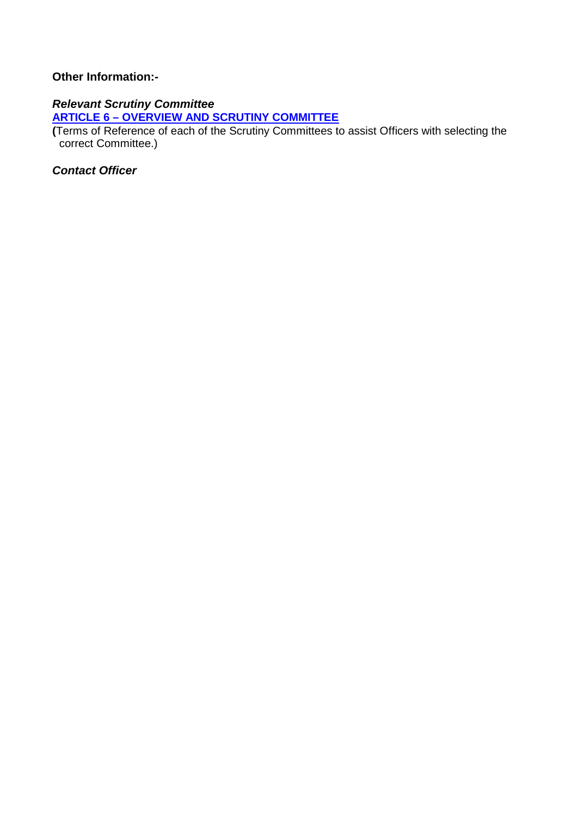## **Other Information:-**

# *Relevant Scrutiny Committee*

**ARTICLE 6 – [OVERVIEW AND SCRUTINY COMMITTEE](http://www.rctcbc.gov.uk/EN/Council/CouncilConstitution/RelatedDocuments/Part2ArticlesoftheConstitution.pdf)**

**(**Terms of Reference of each of the Scrutiny Committees to assist Officers with selecting the correct Committee.)

*Contact Officer*